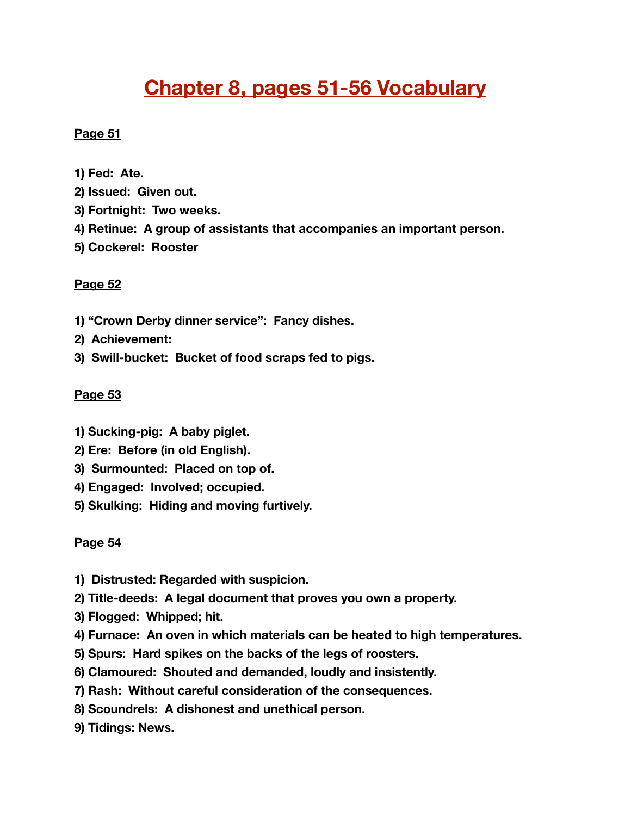# **Chapter 8, pages 51-56 Vocabulary**

## **Page 51**

- **1) Fed: Ate.**
- **2) Issued: Given out.**
- **3) Fortnight: Two weeks.**
- **4) Retinue: A group of assistants that accompanies an important person.**
- **5) Cockerel: Rooster**

#### **Page 52**

- **1) "Crown Derby dinner service": Fancy dishes.**
- **2) Achievement:**
- **3) Swill-bucket: Bucket of food scraps fed to pigs.**

#### **Page 53**

- **1) Sucking-pig: A baby piglet.**
- **2) Ere: Before (in old English).**
- **3) Surmounted: Placed on top of.**
- **4) Engaged: Involved; occupied.**
- **5) Skulking: Hiding and moving furtively.**

### **Page 54**

- **1) Distrusted: Regarded with suspicion.**
- **2) Title-deeds: A legal document that proves you own a property.**
- **3) Flogged: Whipped; hit.**
- **4) Furnace: An oven in which materials can be heated to high temperatures.**
- **5) Spurs: Hard spikes on the backs of the legs of roosters.**
- **6) Clamoured: Shouted and demanded, loudly and insistently.**
- **7) Rash: Without careful consideration of the consequences.**
- **8) Scoundrels: A dishonest and unethical person.**
- **9) Tidings: News.**